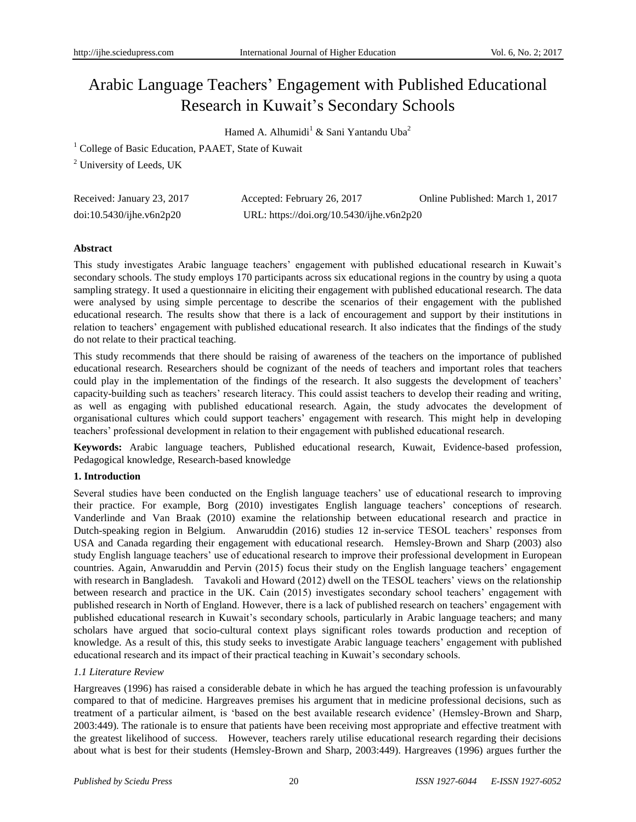# Arabic Language Teachers' Engagement with Published Educational Research in Kuwait's Secondary Schools

Hamed A. Alhumidi<sup>1</sup> & Sani Yantandu Uba<sup>2</sup>

<sup>1</sup> College of Basic Education, PAAET, State of Kuwait

<sup>2</sup> University of Leeds, UK

| Received: January 23, 2017 | Accepted: February 26, 2017               | Online Published: March 1, 2017 |
|----------------------------|-------------------------------------------|---------------------------------|
| doi:10.5430/jhe.v6n2p20    | URL: https://doi.org/10.5430/ijhe.v6n2p20 |                                 |

#### **Abstract**

This study investigates Arabic language teachers' engagement with published educational research in Kuwait's secondary schools. The study employs 170 participants across six educational regions in the country by using a quota sampling strategy. It used a questionnaire in eliciting their engagement with published educational research. The data were analysed by using simple percentage to describe the scenarios of their engagement with the published educational research. The results show that there is a lack of encouragement and support by their institutions in relation to teachers' engagement with published educational research. It also indicates that the findings of the study do not relate to their practical teaching.

This study recommends that there should be raising of awareness of the teachers on the importance of published educational research. Researchers should be cognizant of the needs of teachers and important roles that teachers could play in the implementation of the findings of the research. It also suggests the development of teachers' capacity-building such as teachers' research literacy. This could assist teachers to develop their reading and writing, as well as engaging with published educational research. Again, the study advocates the development of organisational cultures which could support teachers' engagement with research. This might help in developing teachers' professional development in relation to their engagement with published educational research.

**Keywords:** Arabic language teachers, Published educational research, Kuwait, Evidence-based profession, Pedagogical knowledge, Research-based knowledge

# **1. Introduction**

Several studies have been conducted on the English language teachers' use of educational research to improving their practice. For example, Borg (2010) investigates English language teachers' conceptions of research. Vanderlinde and Van Braak (2010) examine the relationship between educational research and practice in Dutch-speaking region in Belgium. Anwaruddin (2016) studies 12 in-service TESOL teachers' responses from USA and Canada regarding their engagement with educational research. Hemsley-Brown and Sharp (2003) also study English language teachers' use of educational research to improve their professional development in European countries. Again, Anwaruddin and Pervin (2015) focus their study on the English language teachers' engagement with research in Bangladesh. Tavakoli and Howard (2012) dwell on the TESOL teachers' views on the relationship between research and practice in the UK. Cain (2015) investigates secondary school teachers' engagement with published research in North of England. However, there is a lack of published research on teachers' engagement with published educational research in Kuwait's secondary schools, particularly in Arabic language teachers; and many scholars have argued that socio-cultural context plays significant roles towards production and reception of knowledge. As a result of this, this study seeks to investigate Arabic language teachers' engagement with published educational research and its impact of their practical teaching in Kuwait's secondary schools.

# *1.1 Literature Review*

Hargreaves (1996) has raised a considerable debate in which he has argued the teaching profession is unfavourably compared to that of medicine. Hargreaves premises his argument that in medicine professional decisions, such as treatment of a particular ailment, is 'based on the best available research evidence' (Hemsley-Brown and Sharp, 2003:449). The rationale is to ensure that patients have been receiving most appropriate and effective treatment with the greatest likelihood of success. However, teachers rarely utilise educational research regarding their decisions about what is best for their students (Hemsley-Brown and Sharp, 2003:449). Hargreaves (1996) argues further the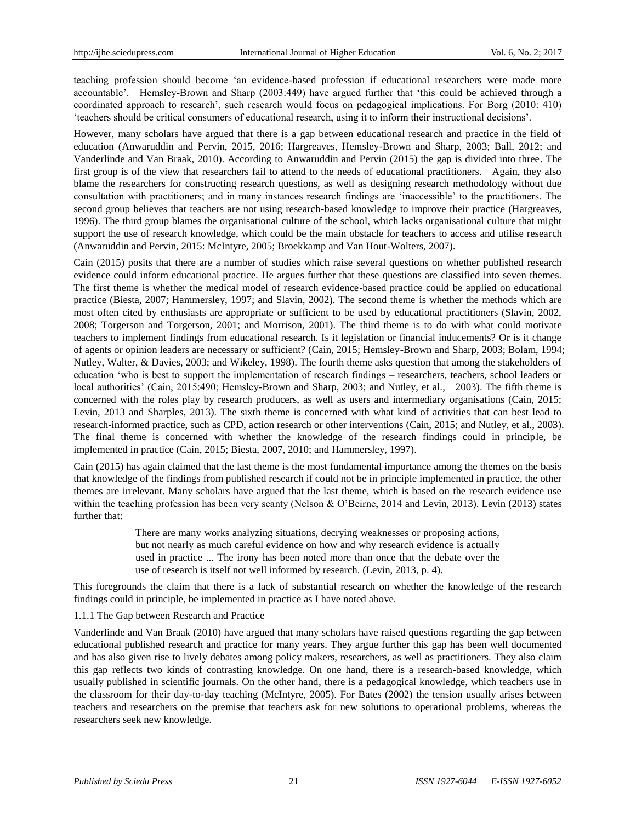teaching profession should become 'an evidence-based profession if educational researchers were made more accountable'. Hemsley-Brown and Sharp (2003:449) have argued further that 'this could be achieved through a coordinated approach to research', such research would focus on pedagogical implications. For Borg (2010: 410) 'teachers should be critical consumers of educational research, using it to inform their instructional decisions'.

However, many scholars have argued that there is a gap between educational research and practice in the field of education (Anwaruddin and Pervin, 2015, 2016; Hargreaves, Hemsley-Brown and Sharp, 2003; Ball, 2012; and Vanderlinde and Van Braak, 2010). According to Anwaruddin and Pervin (2015) the gap is divided into three. The first group is of the view that researchers fail to attend to the needs of educational practitioners. Again, they also blame the researchers for constructing research questions, as well as designing research methodology without due consultation with practitioners; and in many instances research findings are 'inaccessible' to the practitioners. The second group believes that teachers are not using research-based knowledge to improve their practice (Hargreaves, 1996). The third group blames the organisational culture of the school, which lacks organisational culture that might support the use of research knowledge, which could be the main obstacle for teachers to access and utilise research (Anwaruddin and Pervin, 2015: McIntyre, 2005; Broekkamp and Van Hout-Wolters, 2007).

Cain (2015) posits that there are a number of studies which raise several questions on whether published research evidence could inform educational practice. He argues further that these questions are classified into seven themes. The first theme is whether the medical model of research evidence-based practice could be applied on educational practice (Biesta, 2007; Hammersley, 1997; and Slavin, 2002). The second theme is whether the methods which are most often cited by enthusiasts are appropriate or sufficient to be used by educational practitioners (Slavin, 2002, 2008; Torgerson and Torgerson, 2001; and Morrison, 2001). The third theme is to do with what could motivate teachers to implement findings from educational research. Is it legislation or financial inducements? Or is it change of agents or opinion leaders are necessary or sufficient? (Cain, 2015; Hemsley-Brown and Sharp, 2003; Bolam, 1994; Nutley, Walter, & Davies, 2003; and Wikeley, 1998). The fourth theme asks question that among the stakeholders of education 'who is best to support the implementation of research findings – researchers, teachers, school leaders or local authorities' (Cain, 2015:490; Hemsley-Brown and Sharp, 2003; and Nutley, et al., 2003). The fifth theme is concerned with the roles play by research producers, as well as users and intermediary organisations (Cain, 2015; Levin, 2013 and Sharples, 2013). The sixth theme is concerned with what kind of activities that can best lead to research-informed practice, such as CPD, action research or other interventions (Cain, 2015; and Nutley, et al., 2003). The final theme is concerned with whether the knowledge of the research findings could in principle, be implemented in practice (Cain, 2015; Biesta, 2007, 2010; and Hammersley, 1997).

Cain (2015) has again claimed that the last theme is the most fundamental importance among the themes on the basis that knowledge of the findings from published research if could not be in principle implemented in practice, the other themes are irrelevant. Many scholars have argued that the last theme, which is based on the research evidence use within the teaching profession has been very scanty (Nelson & O'Beirne, 2014 and Levin, 2013). Levin (2013) states further that:

> There are many works analyzing situations, decrying weaknesses or proposing actions, but not nearly as much careful evidence on how and why research evidence is actually used in practice ... The irony has been noted more than once that the debate over the use of research is itself not well informed by research. (Levin, 2013, p. 4).

This foregrounds the claim that there is a lack of substantial research on whether the knowledge of the research findings could in principle, be implemented in practice as I have noted above.

#### 1.1.1 The Gap between Research and Practice

Vanderlinde and Van Braak (2010) have argued that many scholars have raised questions regarding the gap between educational published research and practice for many years. They argue further this gap has been well documented and has also given rise to lively debates among policy makers, researchers, as well as practitioners. They also claim this gap reflects two kinds of contrasting knowledge. On one hand, there is a research-based knowledge, which usually published in scientific journals. On the other hand, there is a pedagogical knowledge, which teachers use in the classroom for their day-to-day teaching (McIntyre, 2005). For Bates (2002) the tension usually arises between teachers and researchers on the premise that teachers ask for new solutions to operational problems, whereas the researchers seek new knowledge.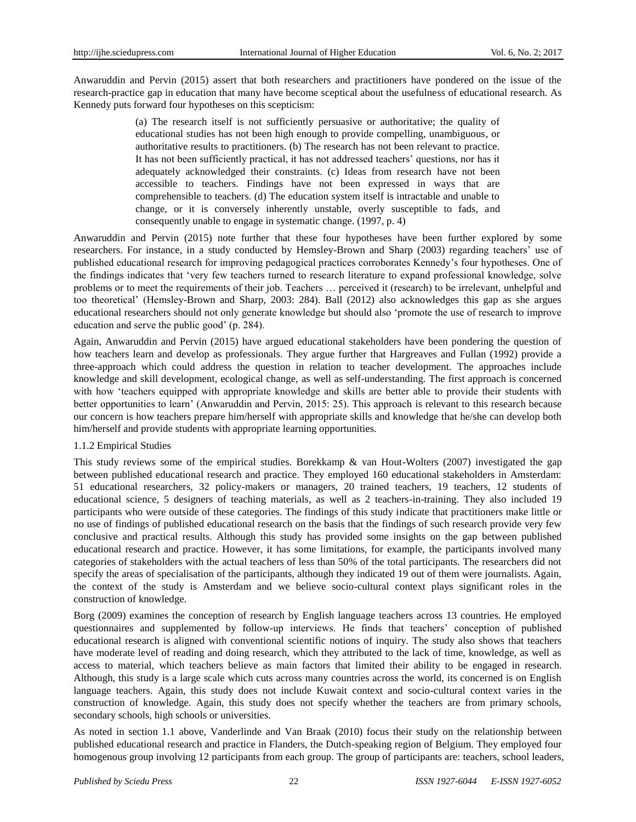Anwaruddin and Pervin (2015) assert that both researchers and practitioners have pondered on the issue of the research-practice gap in education that many have become sceptical about the usefulness of educational research. As Kennedy puts forward four hypotheses on this scepticism:

> (a) The research itself is not sufficiently persuasive or authoritative; the quality of educational studies has not been high enough to provide compelling, unambiguous, or authoritative results to practitioners. (b) The research has not been relevant to practice. It has not been sufficiently practical, it has not addressed teachers' questions, nor has it adequately acknowledged their constraints. (c) Ideas from research have not been accessible to teachers. Findings have not been expressed in ways that are comprehensible to teachers. (d) The education system itself is intractable and unable to change, or it is conversely inherently unstable, overly susceptible to fads, and consequently unable to engage in systematic change. (1997, p. 4)

Anwaruddin and Pervin (2015) note further that these four hypotheses have been further explored by some researchers. For instance, in a study conducted by Hemsley-Brown and Sharp (2003) regarding teachers' use of published educational research for improving pedagogical practices corroborates Kennedy's four hypotheses. One of the findings indicates that 'very few teachers turned to research literature to expand professional knowledge, solve problems or to meet the requirements of their job. Teachers … perceived it (research) to be irrelevant, unhelpful and too theoretical' (Hemsley-Brown and Sharp, 2003: 284). Ball (2012) also acknowledges this gap as she argues educational researchers should not only generate knowledge but should also 'promote the use of research to improve education and serve the public good' (p. 284).

Again, Anwaruddin and Pervin (2015) have argued educational stakeholders have been pondering the question of how teachers learn and develop as professionals. They argue further that Hargreaves and Fullan (1992) provide a three-approach which could address the question in relation to teacher development. The approaches include knowledge and skill development, ecological change, as well as self-understanding. The first approach is concerned with how 'teachers equipped with appropriate knowledge and skills are better able to provide their students with better opportunities to learn' (Anwaruddin and Pervin, 2015: 25). This approach is relevant to this research because our concern is how teachers prepare him/herself with appropriate skills and knowledge that he/she can develop both him/herself and provide students with appropriate learning opportunities.

# 1.1.2 Empirical Studies

This study reviews some of the empirical studies. Borekkamp  $\&$  van Hout-Wolters (2007) investigated the gap between published educational research and practice. They employed 160 educational stakeholders in Amsterdam: 51 educational researchers, 32 policy-makers or managers, 20 trained teachers, 19 teachers, 12 students of educational science, 5 designers of teaching materials, as well as 2 teachers-in-training. They also included 19 participants who were outside of these categories. The findings of this study indicate that practitioners make little or no use of findings of published educational research on the basis that the findings of such research provide very few conclusive and practical results. Although this study has provided some insights on the gap between published educational research and practice. However, it has some limitations, for example, the participants involved many categories of stakeholders with the actual teachers of less than 50% of the total participants. The researchers did not specify the areas of specialisation of the participants, although they indicated 19 out of them were journalists. Again, the context of the study is Amsterdam and we believe socio-cultural context plays significant roles in the construction of knowledge.

Borg (2009) examines the conception of research by English language teachers across 13 countries. He employed questionnaires and supplemented by follow-up interviews. He finds that teachers' conception of published educational research is aligned with conventional scientific notions of inquiry. The study also shows that teachers have moderate level of reading and doing research, which they attributed to the lack of time, knowledge, as well as access to material, which teachers believe as main factors that limited their ability to be engaged in research. Although, this study is a large scale which cuts across many countries across the world, its concerned is on English language teachers. Again, this study does not include Kuwait context and socio-cultural context varies in the construction of knowledge. Again, this study does not specify whether the teachers are from primary schools, secondary schools, high schools or universities.

As noted in section 1.1 above, Vanderlinde and Van Braak (2010) focus their study on the relationship between published educational research and practice in Flanders, the Dutch-speaking region of Belgium. They employed four homogenous group involving 12 participants from each group. The group of participants are: teachers, school leaders,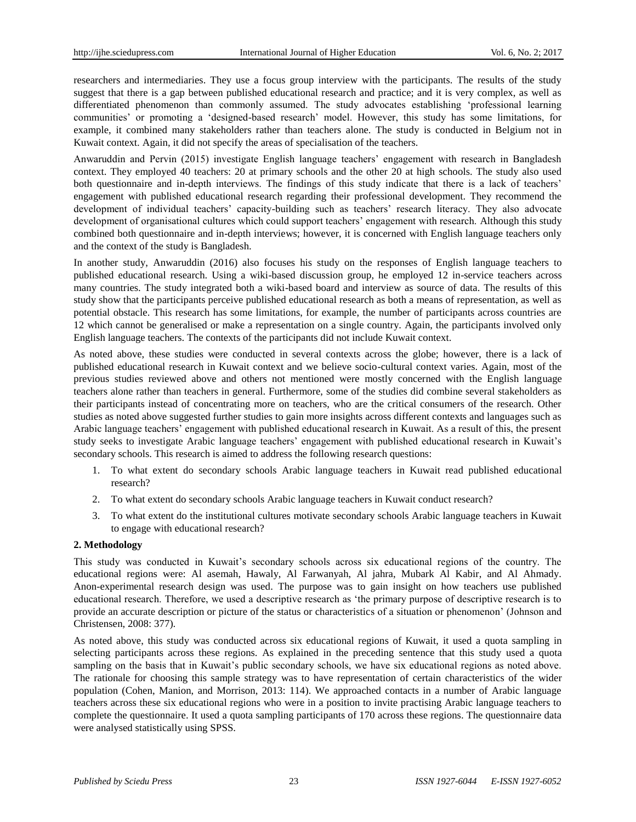researchers and intermediaries. They use a focus group interview with the participants. The results of the study suggest that there is a gap between published educational research and practice; and it is very complex, as well as differentiated phenomenon than commonly assumed. The study advocates establishing 'professional learning communities' or promoting a 'designed-based research' model. However, this study has some limitations, for example, it combined many stakeholders rather than teachers alone. The study is conducted in Belgium not in Kuwait context. Again, it did not specify the areas of specialisation of the teachers.

Anwaruddin and Pervin (2015) investigate English language teachers' engagement with research in Bangladesh context. They employed 40 teachers: 20 at primary schools and the other 20 at high schools. The study also used both questionnaire and in-depth interviews. The findings of this study indicate that there is a lack of teachers' engagement with published educational research regarding their professional development. They recommend the development of individual teachers' capacity-building such as teachers' research literacy. They also advocate development of organisational cultures which could support teachers' engagement with research. Although this study combined both questionnaire and in-depth interviews; however, it is concerned with English language teachers only and the context of the study is Bangladesh.

In another study, Anwaruddin (2016) also focuses his study on the responses of English language teachers to published educational research. Using a wiki-based discussion group, he employed 12 in-service teachers across many countries. The study integrated both a wiki-based board and interview as source of data. The results of this study show that the participants perceive published educational research as both a means of representation, as well as potential obstacle. This research has some limitations, for example, the number of participants across countries are 12 which cannot be generalised or make a representation on a single country. Again, the participants involved only English language teachers. The contexts of the participants did not include Kuwait context.

As noted above, these studies were conducted in several contexts across the globe; however, there is a lack of published educational research in Kuwait context and we believe socio-cultural context varies. Again, most of the previous studies reviewed above and others not mentioned were mostly concerned with the English language teachers alone rather than teachers in general. Furthermore, some of the studies did combine several stakeholders as their participants instead of concentrating more on teachers, who are the critical consumers of the research. Other studies as noted above suggested further studies to gain more insights across different contexts and languages such as Arabic language teachers' engagement with published educational research in Kuwait. As a result of this, the present study seeks to investigate Arabic language teachers' engagement with published educational research in Kuwait's secondary schools. This research is aimed to address the following research questions:

- 1. To what extent do secondary schools Arabic language teachers in Kuwait read published educational research?
- 2. To what extent do secondary schools Arabic language teachers in Kuwait conduct research?
- 3. To what extent do the institutional cultures motivate secondary schools Arabic language teachers in Kuwait to engage with educational research?

#### **2. Methodology**

This study was conducted in Kuwait's secondary schools across six educational regions of the country. The educational regions were: Al asemah, Hawaly, Al Farwanyah, Al jahra, Mubark Al Kabir, and Al Ahmady. Anon-experimental research design was used. The purpose was to gain insight on how teachers use published educational research. Therefore, we used a descriptive research as 'the primary purpose of descriptive research is to provide an accurate description or picture of the status or characteristics of a situation or phenomenon' (Johnson and Christensen, 2008: 377).

As noted above, this study was conducted across six educational regions of Kuwait, it used a quota sampling in selecting participants across these regions. As explained in the preceding sentence that this study used a quota sampling on the basis that in Kuwait's public secondary schools, we have six educational regions as noted above. The rationale for choosing this sample strategy was to have representation of certain characteristics of the wider population (Cohen, Manion, and Morrison, 2013: 114). We approached contacts in a number of Arabic language teachers across these six educational regions who were in a position to invite practising Arabic language teachers to complete the questionnaire. It used a quota sampling participants of 170 across these regions. The questionnaire data were analysed statistically using SPSS.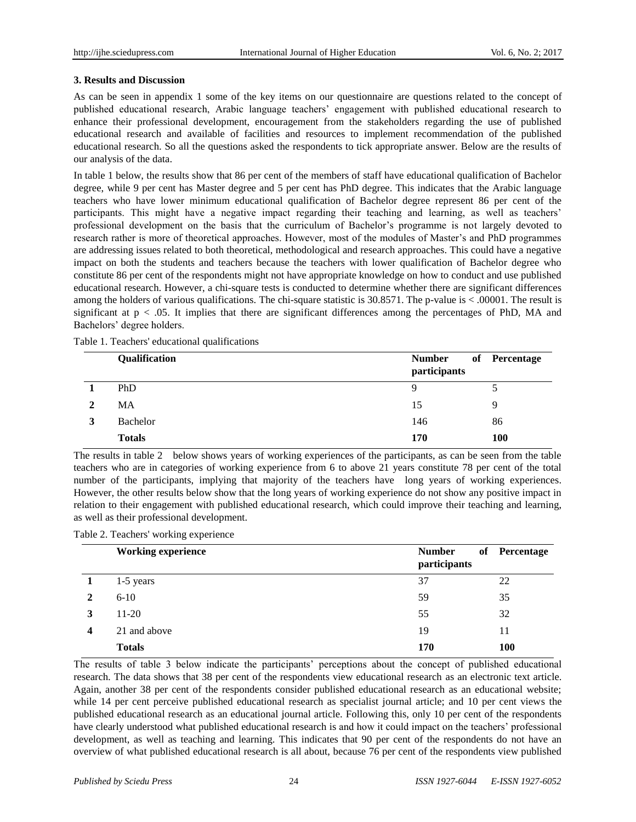# **3. Results and Discussion**

As can be seen in appendix 1 some of the key items on our questionnaire are questions related to the concept of published educational research, Arabic language teachers' engagement with published educational research to enhance their professional development, encouragement from the stakeholders regarding the use of published educational research and available of facilities and resources to implement recommendation of the published educational research. So all the questions asked the respondents to tick appropriate answer. Below are the results of our analysis of the data.

In table 1 below, the results show that 86 per cent of the members of staff have educational qualification of Bachelor degree, while 9 per cent has Master degree and 5 per cent has PhD degree. This indicates that the Arabic language teachers who have lower minimum educational qualification of Bachelor degree represent 86 per cent of the participants. This might have a negative impact regarding their teaching and learning, as well as teachers' professional development on the basis that the curriculum of Bachelor's programme is not largely devoted to research rather is more of theoretical approaches. However, most of the modules of Master's and PhD programmes are addressing issues related to both theoretical, methodological and research approaches. This could have a negative impact on both the students and teachers because the teachers with lower qualification of Bachelor degree who constitute 86 per cent of the respondents might not have appropriate knowledge on how to conduct and use published educational research. However, a chi-square tests is conducted to determine whether there are significant differences among the holders of various qualifications. The chi-square statistic is  $30.8571$ . The p-value is  $< .00001$ . The result is significant at  $p < .05$ . It implies that there are significant differences among the percentages of PhD, MA and Bachelors' degree holders.

|   | Qualification | <b>Number</b><br>participants | of Percentage |
|---|---------------|-------------------------------|---------------|
|   | PhD           | 9                             |               |
|   | MA            | 15                            | Q             |
| 3 | Bachelor      | 146                           | 86            |
|   | <b>Totals</b> | 170                           | <b>100</b>    |

Table 1. Teachers' educational qualifications

The results in table 2 below shows years of working experiences of the participants, as can be seen from the table teachers who are in categories of working experience from 6 to above 21 years constitute 78 per cent of the total number of the participants, implying that majority of the teachers have long years of working experiences. However, the other results below show that the long years of working experience do not show any positive impact in relation to their engagement with published educational research, which could improve their teaching and learning, as well as their professional development.

|  | Table 2. Teachers' working experience |
|--|---------------------------------------|
|  |                                       |

|   | <b>Working experience</b> | <b>Number</b><br>participants | of Percentage |
|---|---------------------------|-------------------------------|---------------|
|   | $1-5$ years               | 37                            | 22            |
| 2 | $6 - 10$                  | 59                            | 35            |
| 3 | $11-20$                   | 55                            | 32            |
| 4 | 21 and above              | 19                            | 11            |
|   | <b>Totals</b>             | 170                           | 100           |

The results of table 3 below indicate the participants' perceptions about the concept of published educational research. The data shows that 38 per cent of the respondents view educational research as an electronic text article. Again, another 38 per cent of the respondents consider published educational research as an educational website; while 14 per cent perceive published educational research as specialist journal article; and 10 per cent views the published educational research as an educational journal article. Following this, only 10 per cent of the respondents have clearly understood what published educational research is and how it could impact on the teachers' professional development, as well as teaching and learning. This indicates that 90 per cent of the respondents do not have an overview of what published educational research is all about, because 76 per cent of the respondents view published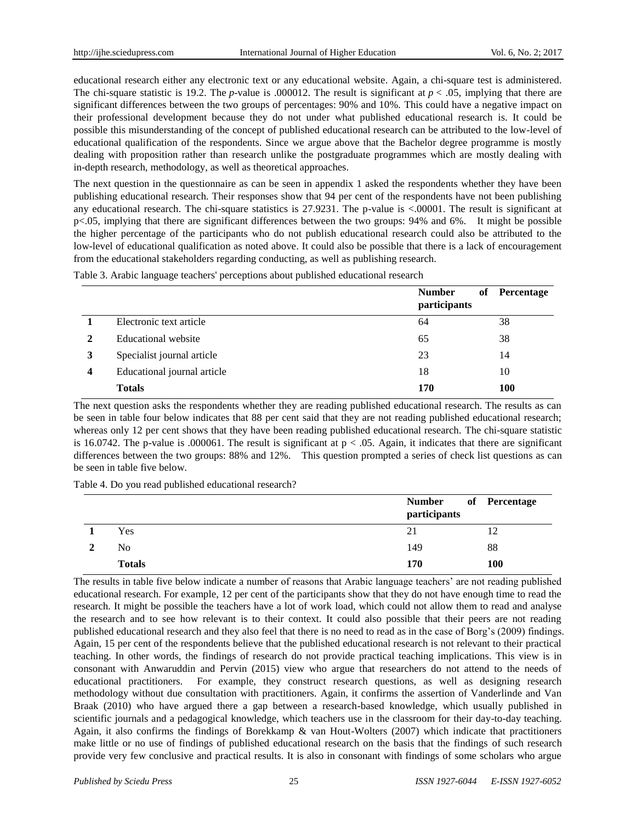educational research either any electronic text or any educational website. Again, a chi-square test is administered. The chi-square statistic is 19.2. The *p*-value is .000012. The result is significant at  $p < .05$ , implying that there are significant differences between the two groups of percentages: 90% and 10%. This could have a negative impact on their professional development because they do not under what published educational research is. It could be possible this misunderstanding of the concept of published educational research can be attributed to the low-level of educational qualification of the respondents. Since we argue above that the Bachelor degree programme is mostly dealing with proposition rather than research unlike the postgraduate programmes which are mostly dealing with in-depth research, methodology, as well as theoretical approaches.

The next question in the questionnaire as can be seen in appendix 1 asked the respondents whether they have been publishing educational research. Their responses show that 94 per cent of the respondents have not been publishing any educational research. The chi-square statistics is 27.9231. The p-value is <.00001. The result is significant at p<.05, implying that there are significant differences between the two groups: 94% and 6%. It might be possible the higher percentage of the participants who do not publish educational research could also be attributed to the low-level of educational qualification as noted above. It could also be possible that there is a lack of encouragement from the educational stakeholders regarding conducting, as well as publishing research.

Table 3. Arabic language teachers' perceptions about published educational research

|   |                             | <b>Number</b><br>participants | Percentage<br>of |  |
|---|-----------------------------|-------------------------------|------------------|--|
|   | Electronic text article     | 64                            | 38               |  |
|   | Educational website         | 65                            | 38               |  |
|   | Specialist journal article  | 23                            | 14               |  |
| 4 | Educational journal article | 18                            | 10               |  |
|   | <b>Totals</b>               | 170                           | 100              |  |

The next question asks the respondents whether they are reading published educational research. The results as can be seen in table four below indicates that 88 per cent said that they are not reading published educational research; whereas only 12 per cent shows that they have been reading published educational research. The chi-square statistic is 16.0742. The p-value is .000061. The result is significant at  $p < .05$ . Again, it indicates that there are significant differences between the two groups: 88% and 12%. This question prompted a series of check list questions as can be seen in table five below.

Table 4. Do you read published educational research?

|               | <b>Number</b><br>participants | of Percentage |
|---------------|-------------------------------|---------------|
| Yes           | 21                            |               |
| No            | 149                           | 88            |
| <b>Totals</b> | 170                           | 100           |

The results in table five below indicate a number of reasons that Arabic language teachers' are not reading published educational research. For example, 12 per cent of the participants show that they do not have enough time to read the research. It might be possible the teachers have a lot of work load, which could not allow them to read and analyse the research and to see how relevant is to their context. It could also possible that their peers are not reading published educational research and they also feel that there is no need to read as in the case of Borg's (2009) findings. Again, 15 per cent of the respondents believe that the published educational research is not relevant to their practical teaching. In other words, the findings of research do not provide practical teaching implications. This view is in consonant with Anwaruddin and Pervin (2015) view who argue that researchers do not attend to the needs of educational practitioners. For example, they construct research questions, as well as designing research methodology without due consultation with practitioners. Again, it confirms the assertion of Vanderlinde and Van Braak (2010) who have argued there a gap between a research-based knowledge, which usually published in scientific journals and a pedagogical knowledge, which teachers use in the classroom for their day-to-day teaching. Again, it also confirms the findings of Borekkamp & van Hout-Wolters (2007) which indicate that practitioners make little or no use of findings of published educational research on the basis that the findings of such research provide very few conclusive and practical results. It is also in consonant with findings of some scholars who argue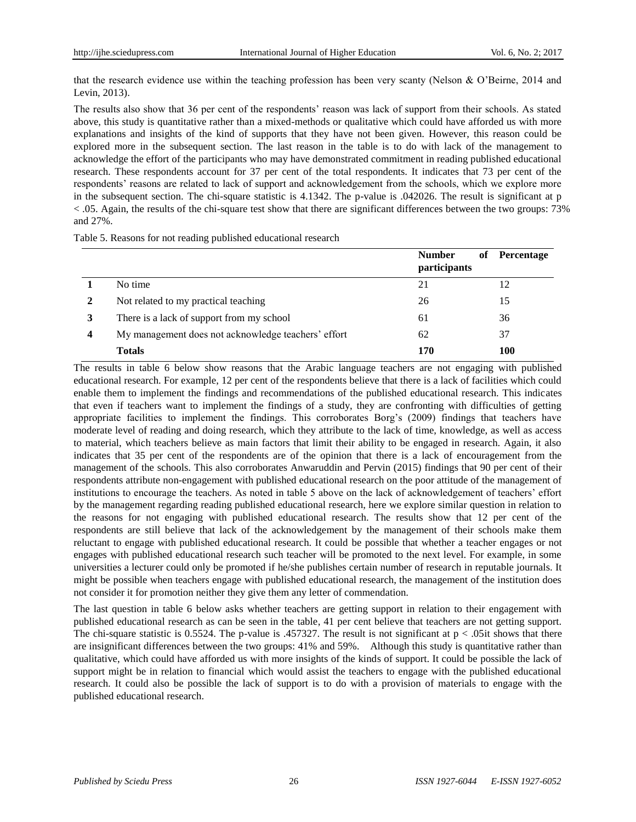that the research evidence use within the teaching profession has been very scanty (Nelson & O'Beirne, 2014 and Levin, 2013).

The results also show that 36 per cent of the respondents' reason was lack of support from their schools. As stated above, this study is quantitative rather than a mixed-methods or qualitative which could have afforded us with more explanations and insights of the kind of supports that they have not been given. However, this reason could be explored more in the subsequent section. The last reason in the table is to do with lack of the management to acknowledge the effort of the participants who may have demonstrated commitment in reading published educational research. These respondents account for 37 per cent of the total respondents. It indicates that 73 per cent of the respondents' reasons are related to lack of support and acknowledgement from the schools, which we explore more in the subsequent section. The chi-square statistic is 4.1342. The p-value is .042026. The result is significant at p  $< .05$ . Again, the results of the chi-square test show that there are significant differences between the two groups:  $73\%$ and 27%.

Table 5. Reasons for not reading published educational research

|                  |                                                     | <b>Number</b><br>of<br>participants | Percentage |
|------------------|-----------------------------------------------------|-------------------------------------|------------|
|                  | No time                                             | 21                                  | 12         |
| 2                | Not related to my practical teaching                | 26                                  | 15         |
|                  | There is a lack of support from my school           | 61                                  | 36         |
| $\boldsymbol{4}$ | My management does not acknowledge teachers' effort | 62                                  | 37         |
|                  | <b>Totals</b>                                       | 170                                 | 100        |

The results in table 6 below show reasons that the Arabic language teachers are not engaging with published educational research. For example, 12 per cent of the respondents believe that there is a lack of facilities which could enable them to implement the findings and recommendations of the published educational research. This indicates that even if teachers want to implement the findings of a study, they are confronting with difficulties of getting appropriate facilities to implement the findings. This corroborates Borg's (2009) findings that teachers have moderate level of reading and doing research, which they attribute to the lack of time, knowledge, as well as access to material, which teachers believe as main factors that limit their ability to be engaged in research. Again, it also indicates that 35 per cent of the respondents are of the opinion that there is a lack of encouragement from the management of the schools. This also corroborates Anwaruddin and Pervin (2015) findings that 90 per cent of their respondents attribute non-engagement with published educational research on the poor attitude of the management of institutions to encourage the teachers. As noted in table 5 above on the lack of acknowledgement of teachers' effort by the management regarding reading published educational research, here we explore similar question in relation to the reasons for not engaging with published educational research. The results show that 12 per cent of the respondents are still believe that lack of the acknowledgement by the management of their schools make them reluctant to engage with published educational research. It could be possible that whether a teacher engages or not engages with published educational research such teacher will be promoted to the next level. For example, in some universities a lecturer could only be promoted if he/she publishes certain number of research in reputable journals. It might be possible when teachers engage with published educational research, the management of the institution does not consider it for promotion neither they give them any letter of commendation.

The last question in table 6 below asks whether teachers are getting support in relation to their engagement with published educational research as can be seen in the table, 41 per cent believe that teachers are not getting support. The chi-square statistic is 0.5524. The p-value is .457327. The result is not significant at  $p < 0.05$  t shows that there are insignificant differences between the two groups: 41% and 59%. Although this study is quantitative rather than qualitative, which could have afforded us with more insights of the kinds of support. It could be possible the lack of support might be in relation to financial which would assist the teachers to engage with the published educational research. It could also be possible the lack of support is to do with a provision of materials to engage with the published educational research.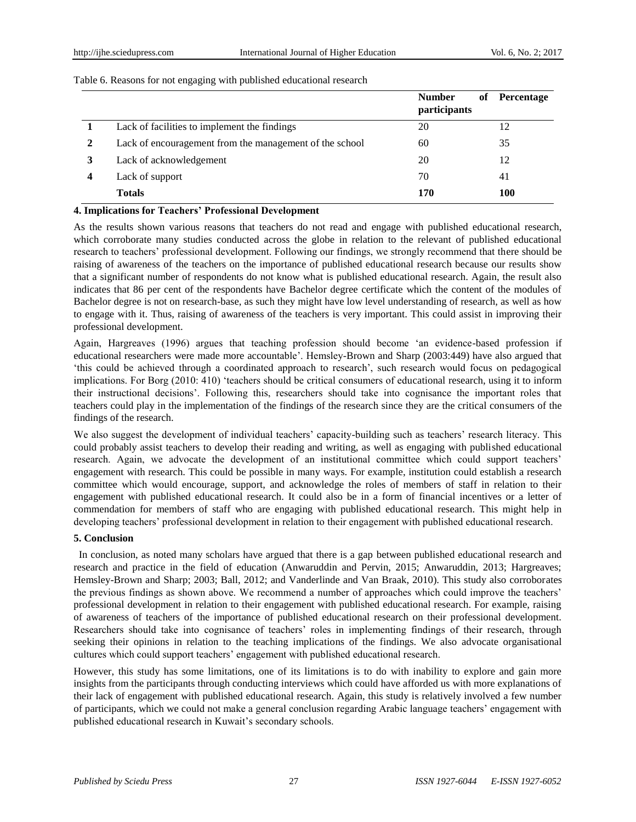#### Table 6. Reasons for not engaging with published educational research

|                                                         | <b>Number</b><br>participants | of Percentage |
|---------------------------------------------------------|-------------------------------|---------------|
| Lack of facilities to implement the findings            | 20                            | 12            |
| Lack of encouragement from the management of the school | 60                            | 35            |
| Lack of acknowledgement                                 | 20                            | 12            |
| Lack of support                                         | 70                            | 41            |
| <b>Totals</b>                                           | 170                           | 100           |

#### **4. Implications for Teachers' Professional Development**

As the results shown various reasons that teachers do not read and engage with published educational research, which corroborate many studies conducted across the globe in relation to the relevant of published educational research to teachers' professional development. Following our findings, we strongly recommend that there should be raising of awareness of the teachers on the importance of published educational research because our results show that a significant number of respondents do not know what is published educational research. Again, the result also indicates that 86 per cent of the respondents have Bachelor degree certificate which the content of the modules of Bachelor degree is not on research-base, as such they might have low level understanding of research, as well as how to engage with it. Thus, raising of awareness of the teachers is very important. This could assist in improving their professional development.

Again, Hargreaves (1996) argues that teaching profession should become 'an evidence-based profession if educational researchers were made more accountable'. Hemsley-Brown and Sharp (2003:449) have also argued that 'this could be achieved through a coordinated approach to research', such research would focus on pedagogical implications. For Borg (2010: 410) 'teachers should be critical consumers of educational research, using it to inform their instructional decisions'. Following this, researchers should take into cognisance the important roles that teachers could play in the implementation of the findings of the research since they are the critical consumers of the findings of the research.

We also suggest the development of individual teachers' capacity-building such as teachers' research literacy. This could probably assist teachers to develop their reading and writing, as well as engaging with published educational research. Again, we advocate the development of an institutional committee which could support teachers' engagement with research. This could be possible in many ways. For example, institution could establish a research committee which would encourage, support, and acknowledge the roles of members of staff in relation to their engagement with published educational research. It could also be in a form of financial incentives or a letter of commendation for members of staff who are engaging with published educational research. This might help in developing teachers' professional development in relation to their engagement with published educational research.

# **5. Conclusion**

In conclusion, as noted many scholars have argued that there is a gap between published educational research and research and practice in the field of education (Anwaruddin and Pervin, 2015; Anwaruddin, 2013; Hargreaves; Hemsley-Brown and Sharp; 2003; Ball, 2012; and Vanderlinde and Van Braak, 2010). This study also corroborates the previous findings as shown above. We recommend a number of approaches which could improve the teachers' professional development in relation to their engagement with published educational research. For example, raising of awareness of teachers of the importance of published educational research on their professional development. Researchers should take into cognisance of teachers' roles in implementing findings of their research, through seeking their opinions in relation to the teaching implications of the findings. We also advocate organisational cultures which could support teachers' engagement with published educational research.

However, this study has some limitations, one of its limitations is to do with inability to explore and gain more insights from the participants through conducting interviews which could have afforded us with more explanations of their lack of engagement with published educational research. Again, this study is relatively involved a few number of participants, which we could not make a general conclusion regarding Arabic language teachers' engagement with published educational research in Kuwait's secondary schools.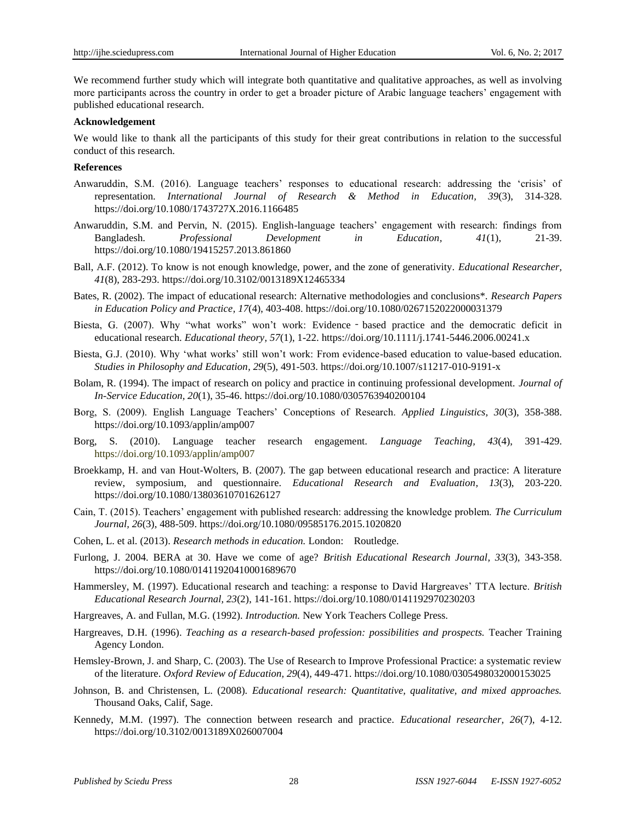We recommend further study which will integrate both quantitative and qualitative approaches, as well as involving more participants across the country in order to get a broader picture of Arabic language teachers' engagement with published educational research.

#### **Acknowledgement**

We would like to thank all the participants of this study for their great contributions in relation to the successful conduct of this research.

#### **References**

- Anwaruddin, S.M. (2016). Language teachers' responses to educational research: addressing the 'crisis' of representation. *International Journal of Research & Method in Education, 39*(3), 314-328. https://doi.org/10.1080/1743727X.2016.1166485
- Anwaruddin, S.M. and Pervin, N. (2015). English-language teachers' engagement with research: findings from Bangladesh. *Professional Development in Education, 41*(1), 21-39. https://doi.org/10.1080/19415257.2013.861860
- Ball, A.F. (2012). To know is not enough knowledge, power, and the zone of generativity. *Educational Researcher, 41*(8), 283-293. https://doi.org/10.3102/0013189X12465334
- Bates, R. (2002). The impact of educational research: Alternative methodologies and conclusions\*. *Research Papers in Education Policy and Practice, 17*(4), 403-408. https://doi.org/10.1080/0267152022000031379
- Biesta, G. (2007). Why "what works" won't work: Evidence based practice and the democratic deficit in educational research. *Educational theory, 57*(1), 1-22. https://doi.org/10.1111/j.1741-5446.2006.00241.x
- Biesta, G.J. (2010). Why 'what works' still won't work: From evidence-based education to value-based education. *Studies in Philosophy and Education, 29*(5), 491-503. https://doi.org/10.1007/s11217-010-9191-x
- Bolam, R. (1994). The impact of research on policy and practice in continuing professional development. *Journal of In-Service Education, 20*(1), 35-46. https://doi.org/10.1080/0305763940200104
- Borg, S. (2009). English Language Teachers' Conceptions of Research. *Applied Linguistics, 30*(3), 358-388. https://doi.org/10.1093/applin/amp007
- Borg, S. (2010). Language teacher research engagement. *Language Teaching, 43*(4), 391-429. https://doi.org/10.1093/applin/amp007
- Broekkamp, H. and van Hout-Wolters, B. (2007). The gap between educational research and practice: A literature review, symposium, and questionnaire. *Educational Research and Evaluation, 13*(3), 203-220. https://doi.org/10.1080/13803610701626127
- Cain, T. (2015). Teachers' engagement with published research: addressing the knowledge problem. *The Curriculum Journal, 26*(3), 488-509. https://doi.org/10.1080/09585176.2015.1020820
- Cohen, L. et al. (2013). *Research methods in education.* London: Routledge.
- Furlong, J. 2004. BERA at 30. Have we come of age? *British Educational Research Journal, 33*(3), 343-358. https://doi.org/10.1080/01411920410001689670
- Hammersley, M. (1997). Educational research and teaching: a response to David Hargreaves' TTA lecture. *British Educational Research Journal, 23*(2), 141-161. https://doi.org/10.1080/0141192970230203
- Hargreaves, A. and Fullan, M.G. (1992). *Introduction.* New York Teachers College Press.
- Hargreaves, D.H. (1996). *Teaching as a research-based profession: possibilities and prospects.* Teacher Training Agency London.
- Hemsley-Brown, J. and Sharp, C. (2003). The Use of Research to Improve Professional Practice: a systematic review of the literature. *Oxford Review of Education, 29*(4), 449-471. https://doi.org/10.1080/0305498032000153025
- Johnson, B. and Christensen, L. (2008). *Educational research: Quantitative, qualitative, and mixed approaches.* Thousand Oaks, Calif, Sage.
- Kennedy, M.M. (1997). The connection between research and practice. *Educational researcher, 26*(7), 4-12. https://doi.org/10.3102/0013189X026007004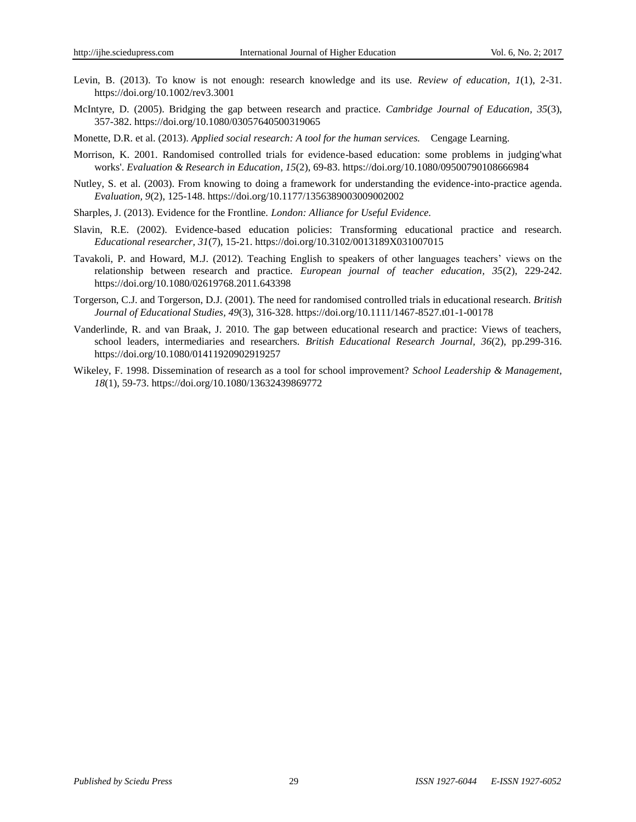- Levin, B. (2013). To know is not enough: research knowledge and its use. *Review of education, 1*(1), 2-31. https://doi.org/10.1002/rev3.3001
- McIntyre, D. (2005). Bridging the gap between research and practice. *Cambridge Journal of Education, 35*(3), 357-382. https://doi.org/10.1080/03057640500319065

Monette, D.R. et al. (2013). *Applied social research: A tool for the human services.* Cengage Learning.

- Morrison, K. 2001. Randomised controlled trials for evidence-based education: some problems in judging'what works'. *Evaluation & Research in Education, 15*(2), 69-83. https://doi.org/10.1080/09500790108666984
- Nutley, S. et al. (2003). From knowing to doing a framework for understanding the evidence-into-practice agenda. *Evaluation, 9*(2), 125-148. https://doi.org/10.1177/1356389003009002002
- Sharples, J. (2013). Evidence for the Frontline. *London: Alliance for Useful Evidence.*
- Slavin, R.E. (2002). Evidence-based education policies: Transforming educational practice and research. *Educational researcher, 31*(7), 15-21. https://doi.org/10.3102/0013189X031007015
- Tavakoli, P. and Howard, M.J. (2012). Teaching English to speakers of other languages teachers' views on the relationship between research and practice. *European journal of teacher education, 35*(2), 229-242. https://doi.org/10.1080/02619768.2011.643398
- Torgerson, C.J. and Torgerson, D.J. (2001). The need for randomised controlled trials in educational research. *British Journal of Educational Studies, 49*(3), 316-328. https://doi.org/10.1111/1467-8527.t01-1-00178
- Vanderlinde, R. and van Braak, J. 2010. The gap between educational research and practice: Views of teachers, school leaders, intermediaries and researchers. *British Educational Research Journal, 36*(2), pp.299-316. https://doi.org/10.1080/01411920902919257
- Wikeley, F. 1998. Dissemination of research as a tool for school improvement? *School Leadership & Management, 18*(1), 59-73. https://doi.org/10.1080/13632439869772